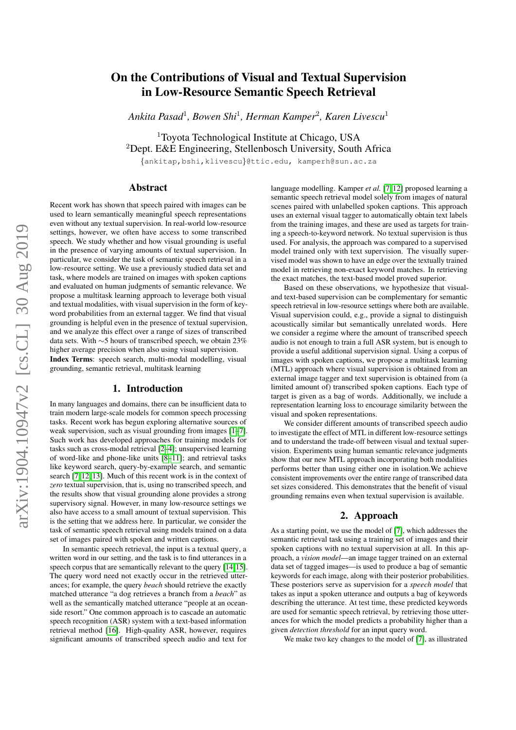# On the Contributions of Visual and Textual Supervision in Low-Resource Semantic Speech Retrieval

*Ankita Pasad*<sup>1</sup> *, Bowen Shi*<sup>1</sup> *, Herman Kamper*<sup>2</sup> *, Karen Livescu*<sup>1</sup>

<sup>1</sup>Toyota Technological Institute at Chicago, USA  $2$ Dept. E&E Engineering, Stellenbosch University, South Africa

{ankitap,bshi,klivescu}@ttic.edu, kamperh@sun.ac.za

# Abstract

Recent work has shown that speech paired with images can be used to learn semantically meaningful speech representations even without any textual supervision. In real-world low-resource settings, however, we often have access to some transcribed speech. We study whether and how visual grounding is useful in the presence of varying amounts of textual supervision. In particular, we consider the task of semantic speech retrieval in a low-resource setting. We use a previously studied data set and task, where models are trained on images with spoken captions and evaluated on human judgments of semantic relevance. We propose a multitask learning approach to leverage both visual and textual modalities, with visual supervision in the form of keyword probabilities from an external tagger. We find that visual grounding is helpful even in the presence of textual supervision, and we analyze this effect over a range of sizes of transcribed data sets. With ∼5 hours of transcribed speech, we obtain 23% higher average precision when also using visual supervision.

Index Terms: speech search, multi-modal modelling, visual grounding, semantic retrieval, multitask learning

#### 1. Introduction

In many languages and domains, there can be insufficient data to train modern large-scale models for common speech processing tasks. Recent work has begun exploring alternative sources of weak supervision, such as visual grounding from images [\[1–](#page-4-0)[7\]](#page-4-1). Such work has developed approaches for training models for tasks such as cross-modal retrieval [\[2](#page-4-2)[–4\]](#page-4-3); unsupervised learning of word-like and phone-like units [\[8](#page-4-4)[–11\]](#page-4-5); and retrieval tasks like keyword search, query-by-example search, and semantic search [\[7,](#page-4-1) [12,](#page-4-6) [13\]](#page-4-7). Much of this recent work is in the context of *zero* textual supervision, that is, using no transcribed speech, and the results show that visual grounding alone provides a strong supervisory signal. However, in many low-resource settings we also have access to a small amount of textual supervision. This is the setting that we address here. In particular, we consider the task of semantic speech retrieval using models trained on a data set of images paired with spoken and written captions.

In semantic speech retrieval, the input is a textual query, a written word in our setting, and the task is to find utterances in a speech corpus that are semantically relevant to the query [\[14,](#page-4-8)[15\]](#page-4-9). The query word need not exactly occur in the retrieved utterances; for example, the query *beach* should retrieve the exactly matched utterance "a dog retrieves a branch from a *beach*" as well as the semantically matched utterance "people at an oceanside resort." One common approach is to cascade an automatic speech recognition (ASR) system with a text-based information retrieval method [\[16\]](#page-4-10). High-quality ASR, however, requires significant amounts of transcribed speech audio and text for language modelling. Kamper *et al.* [\[7,](#page-4-1) [12\]](#page-4-6) proposed learning a semantic speech retrieval model solely from images of natural scenes paired with unlabelled spoken captions. This approach uses an external visual tagger to automatically obtain text labels from the training images, and these are used as targets for training a speech-to-keyword network. No textual supervision is thus used. For analysis, the approach was compared to a supervised model trained only with text supervision. The visually supervised model was shown to have an edge over the textually trained model in retrieving non-exact keyword matches. In retrieving the exact matches, the text-based model proved superior.

Based on these observations, we hypothesize that visualand text-based supervision can be complementary for semantic speech retrieval in low-resource settings where both are available. Visual supervision could, e.g., provide a signal to distinguish acoustically similar but semantically unrelated words. Here we consider a regime where the amount of transcribed speech audio is not enough to train a full ASR system, but is enough to provide a useful additional supervision signal. Using a corpus of images with spoken captions, we propose a multitask learning (MTL) approach where visual supervision is obtained from an external image tagger and text supervision is obtained from (a limited amount of) transcribed spoken captions. Each type of target is given as a bag of words. Additionally, we include a representation learning loss to encourage similarity between the visual and spoken representations.

We consider different amounts of transcribed speech audio to investigate the effect of MTL in different low-resource settings and to understand the trade-off between visual and textual supervision. Experiments using human semantic relevance judgments show that our new MTL approach incorporating both modalities performs better than using either one in isolation.We achieve consistent improvements over the entire range of transcribed data set sizes considered. This demonstrates that the benefit of visual grounding remains even when textual supervision is available.

# 2. Approach

As a starting point, we use the model of [\[7\]](#page-4-1), which addresses the semantic retrieval task using a training set of images and their spoken captions with no textual supervision at all. In this approach, a *vision model*—an image tagger trained on an external data set of tagged images—is used to produce a bag of semantic keywords for each image, along with their posterior probabilities. These posteriors serve as supervision for a *speech model* that takes as input a spoken utterance and outputs a bag of keywords describing the utterance. At test time, these predicted keywords are used for semantic speech retrieval, by retrieving those utterances for which the model predicts a probability higher than a given *detection threshold* for an input query word.

We make two key changes to the model of [\[7\]](#page-4-1), as illustrated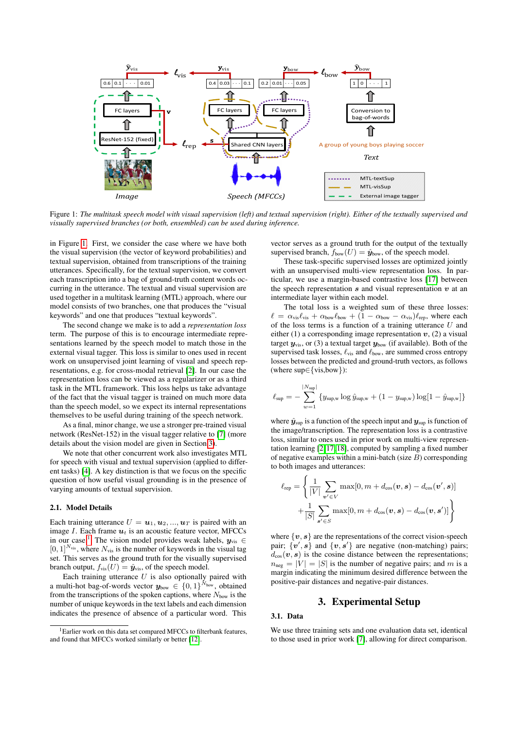<span id="page-1-0"></span>

Figure 1: *The multitask speech model with visual supervision (left) and textual supervision (right). Either of the textually supervised and visually supervised branches (or both, ensembled) can be used during inference.*

in Figure [1.](#page-1-0) First, we consider the case where we have both the visual supervision (the vector of keyword probabilities) and textual supervision, obtained from transcriptions of the training utterances. Specifically, for the textual supervision, we convert each transcription into a bag of ground-truth content words occurring in the utterance. The textual and visual supervision are used together in a multitask learning (MTL) approach, where our model consists of two branches, one that produces the "visual keywords" and one that produces "textual keywords".

The second change we make is to add a *representation loss* term. The purpose of this is to encourage intermediate representations learned by the speech model to match those in the external visual tagger. This loss is similar to ones used in recent work on unsupervised joint learning of visual and speech representations, e.g. for cross-modal retrieval [\[2\]](#page-4-2). In our case the representation loss can be viewed as a regularizer or as a third task in the MTL framework. This loss helps us take advantage of the fact that the visual tagger is trained on much more data than the speech model, so we expect its internal representations themselves to be useful during training of the speech network.

As a final, minor change, we use a stronger pre-trained visual network (ResNet-152) in the visual tagger relative to [\[7\]](#page-4-1) (more details about the vision model are given in Section [3\)](#page-1-1).

We note that other concurrent work also investigates MTL for speech with visual and textual supervision (applied to different tasks) [\[4\]](#page-4-3). A key distinction is that we focus on the specific question of how useful visual grounding is in the presence of varying amounts of textual supervision.

#### 2.1. Model Details

Each training utterance  $U = u_1, u_2, ..., u_T$  is paired with an image  $I$ . Each frame  $u_t$  is an acoustic feature vector, MFCCs in our case.<sup>[1](#page-1-2)</sup> The vision model provides weak labels,  $y_{\text{vis}} \in$  $[0, 1]^{N_{\text{vis}}}$ , where  $N_{\text{vis}}$  is the number of keywords in the visual tag set. This serves as the ground truth for the visually supervised branch output,  $f_{\text{vis}}(U) = \hat{\mathbf{y}}_{\text{vis}}$ , of the speech model.

Each training utterance  $U$  is also optionally paired with a multi-hot bag-of-words vector  $\mathbf{y}_{\text{bow}} \in \{0, 1\}^{N_{\text{bow}}}$  , obtained from the transcriptions of the spoken captions, where  $N_{\text{bow}}$  is the number of unique keywords in the text labels and each dimension indicates the presence of absence of a particular word. This vector serves as a ground truth for the output of the textually supervised branch,  $f_{\text{bow}}(U) = \hat{\mathbf{y}}_{\text{bow}}$ , of the speech model.

These task-specific supervised losses are optimized jointly with an unsupervised multi-view representation loss. In particular, we use a margin-based contrastive loss [\[17\]](#page-4-11) between the speech representation  $s$  and visual representation  $v$  at an intermediate layer within each model.

The total loss is a weighted sum of these three losses:  $\ell = \alpha_{\text{vis}}\ell_{\text{vis}} + \alpha_{\text{bow}}\ell_{\text{bow}} + (1 - \alpha_{\text{bow}} - \alpha_{\text{vis}})\ell_{\text{rep}}$ , where each of the loss terms is a function of a training utterance  $U$  and either (1) a corresponding image representation  $v$ , (2) a visual target  $y_{\text{vis}}$ , or (3) a textual target  $y_{\text{bow}}$  (if available). Both of the supervised task losses,  $\ell_{vis}$  and  $\ell_{bow}$ , are summed cross entropy losses between the predicted and ground-truth vectors, as follows (where sup∈{vis,bow}):

$$
\ell_{\sup} = -\sum_{w=1}^{|N_{\sup}|} \{y_{\sup,w} \log \hat{y}_{\sup,w} + (1 - y_{\sup,w}) \log [1 - \hat{y}_{\sup,w}] \}
$$

where  $\hat{y}_{\text{sup}}$  is a function of the speech input and  $y_{\text{sup}}$  is function of the image/transcription. The representation loss is a contrastive loss, similar to ones used in prior work on multi-view representation learning [\[2,](#page-4-2) [17,](#page-4-11) [18\]](#page-4-12), computed by sampling a fixed number of negative examples within a mini-batch (size  $B$ ) corresponding to both images and utterances:

$$
\ell_{\text{rep}} = \left\{ \frac{1}{|V|} \sum_{\mathbf{v'} \in V} \max[0, m + d_{\text{cos}}(\mathbf{v}, \mathbf{s}) - d_{\text{cos}}(\mathbf{v'}, \mathbf{s})] + \frac{1}{|S|} \sum_{\mathbf{s'} \in S} \max[0, m + d_{\text{cos}}(\mathbf{v}, \mathbf{s}) - d_{\text{cos}}(\mathbf{v}, \mathbf{s'})] \right\}
$$

where  $\{v, s\}$  are the representations of the correct vision-speech pair;  $\{\boldsymbol{v}',\boldsymbol{s}\}$  and  $\{\boldsymbol{v},\boldsymbol{s}'\}$  are negative (non-matching) pairs;  $d_{\cos}(\boldsymbol{v}, \boldsymbol{s})$  is the cosine distance between the representations;  $n_{\text{neg}} = |V| = |S|$  is the number of negative pairs; and m is a margin indicating the minimum desired difference between the positive-pair distances and negative-pair distances.

# 3. Experimental Setup

#### <span id="page-1-3"></span><span id="page-1-1"></span>3.1. Data

We use three training sets and one evaluation data set, identical to those used in prior work [\[7\]](#page-4-1), allowing for direct comparison.

<span id="page-1-2"></span><sup>&</sup>lt;sup>1</sup>Earlier work on this data set compared MFCCs to filterbank features, and found that MFCCs worked similarly or better [\[12\]](#page-4-6).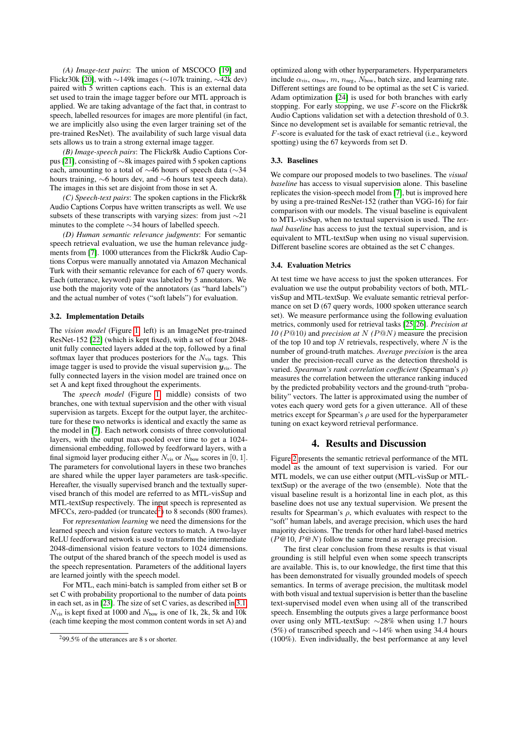*(A) Image-text pairs*: The union of MSCOCO [\[19\]](#page-4-13) and Flickr30k [\[20\]](#page-4-14), with ∼149k images (∼107k training, ∼42k dev) paired with 5 written captions each. This is an external data set used to train the image tagger before our MTL approach is applied. We are taking advantage of the fact that, in contrast to speech, labelled resources for images are more plentiful (in fact, we are implicitly also using the even larger training set of the pre-trained ResNet). The availability of such large visual data sets allows us to train a strong external image tagger.

*(B) Image-speech pairs*: The Flickr8k Audio Captions Corpus [\[21\]](#page-4-15), consisting of ∼8k images paired with 5 spoken captions each, amounting to a total of ∼46 hours of speech data (∼34 hours training, ∼6 hours dev, and ∼6 hours test speech data). The images in this set are disjoint from those in set A.

*(C) Speech-text pairs*: The spoken captions in the Flickr8k Audio Captions Corpus have written transcripts as well. We use subsets of these transcripts with varying sizes: from just ∼21 minutes to the complete ∼34 hours of labelled speech.

*(D) Human semantic relevance judgments*: For semantic speech retrieval evaluation, we use the human relevance judgments from [\[7\]](#page-4-1). 1000 utterances from the Flickr8k Audio Captions Corpus were manually annotated via Amazon Mechanical Turk with their semantic relevance for each of 67 query words. Each (utterance, keyword) pair was labeled by 5 annotators. We use both the majority vote of the annotators (as "hard labels") and the actual number of votes ("soft labels") for evaluation.

## 3.2. Implementation Details

The *vision model* (Figure [1,](#page-1-0) left) is an ImageNet pre-trained ResNet-152 [\[22\]](#page-4-16) (which is kept fixed), with a set of four 2048 unit fully connected layers added at the top, followed by a final softmax layer that produces posteriors for the  $N_{vis}$  tags. This image tagger is used to provide the visual supervision  $y_{\text{vis}}$ . The fully connected layers in the vision model are trained once on set A and kept fixed throughout the experiments.

The *speech model* (Figure [1,](#page-1-0) middle) consists of two branches, one with textual supervision and the other with visual supervision as targets. Except for the output layer, the architecture for these two networks is identical and exactly the same as the model in [\[7\]](#page-4-1). Each network consists of three convolutional layers, with the output max-pooled over time to get a 1024 dimensional embedding, followed by feedforward layers, with a final sigmoid layer producing either  $N_{vis}$  or  $N_{bow}$  scores in [0, 1]. The parameters for convolutional layers in these two branches are shared while the upper layer parameters are task-specific. Hereafter, the visually supervised branch and the textually supervised branch of this model are referred to as MTL-visSup and MTL-textSup respectively. The input speech is represented as  $MFCCs$ , zero-padded (or truncated<sup>[2](#page-2-0)</sup>) to 8 seconds (800 frames).

For *representation learning* we need the dimensions for the learned speech and vision feature vectors to match. A two-layer ReLU feedforward network is used to transform the intermediate 2048-dimensional vision feature vectors to 1024 dimensions. The output of the shared branch of the speech model is used as the speech representation. Parameters of the additional layers are learned jointly with the speech model.

For MTL, each mini-batch is sampled from either set B or set C with probability proportional to the number of data points in each set, as in [\[23\]](#page-4-17). The size of set C varies, as described in [3.1.](#page-1-3)  $N_{\text{vis}}$  is kept fixed at 1000 and  $N_{\text{bow}}$  is one of 1k, 2k, 5k and 10k (each time keeping the most common content words in set A) and

optimized along with other hyperparameters. Hyperparameters include  $\alpha_{vis}$ ,  $\alpha_{bow}$ ,  $m$ ,  $n_{neg}$ ,  $N_{bow}$ , batch size, and learning rate. Different settings are found to be optimal as the set C is varied. Adam optimization [\[24\]](#page-4-18) is used for both branches with early stopping. For early stopping, we use  $F$ -score on the Flickr8k Audio Captions validation set with a detection threshold of 0.3. Since no development set is available for semantic retrieval, the F-score is evaluated for the task of exact retrieval (i.e., keyword spotting) using the 67 keywords from set D.

#### 3.3. Baselines

We compare our proposed models to two baselines. The *visual baseline* has access to visual supervision alone. This baseline replicates the vision-speech model from [\[7\]](#page-4-1), but is improved here by using a pre-trained ResNet-152 (rather than VGG-16) for fair comparison with our models. The visual baseline is equivalent to MTL-visSup, when no textual supervision is used. The *textual baseline* has access to just the textual supervision, and is equivalent to MTL-textSup when using no visual supervision. Different baseline scores are obtained as the set C changes.

#### 3.4. Evaluation Metrics

At test time we have access to just the spoken utterances. For evaluation we use the output probability vectors of both, MTLvisSup and MTL-textSup. We evaluate semantic retrieval performance on set D (67 query words, 1000 spoken utterance search set). We measure performance using the following evaluation metrics, commonly used for retrieval tasks [\[25,](#page-4-19) [26\]](#page-4-20). *Precision at 10 (*P@10*)* and *precision at* N *(*P@N*)* measure the precision of the top 10 and top  $N$  retrievals, respectively, where  $N$  is the number of ground-truth matches. *Average precision* is the area under the precision-recall curve as the detection threshold is varied. *Spearman's rank correlation coefficient* (Spearman's ρ) measures the correlation between the utterance ranking induced by the predicted probability vectors and the ground-truth "probability" vectors. The latter is approximated using the number of votes each query word gets for a given utterance. All of these metrics except for Spearman's  $\rho$  are used for the hyperparameter tuning on exact keyword retrieval performance.

### 4. Results and Discussion

Figure [2](#page-3-0) presents the semantic retrieval performance of the MTL model as the amount of text supervision is varied. For our MTL models, we can use either output (MTL-visSup or MTLtextSup) or the average of the two (ensemble). Note that the visual baseline result is a horizontal line in each plot, as this baseline does not use any textual supervision. We present the results for Spearman's  $\rho$ , which evaluates with respect to the "soft" human labels, and average precision, which uses the hard majority decisions. The trends for other hard label-based metrics  $(P@10, P@N)$  follow the same trend as average precision.

The first clear conclusion from these results is that visual grounding is still helpful even when some speech transcripts are available. This is, to our knowledge, the first time that this has been demonstrated for visually grounded models of speech semantics. In terms of average precision, the multitask model with both visual and textual supervision is better than the baseline text-supervised model even when using all of the transcribed speech. Ensembling the outputs gives a large performance boost over using only MTL-textSup: ∼28% when using 1.7 hours (5%) of transcribed speech and ∼14% when using 34.4 hours (100%). Even individually, the best performance at any level

<span id="page-2-0"></span><sup>2</sup>99.5% of the utterances are 8 s or shorter.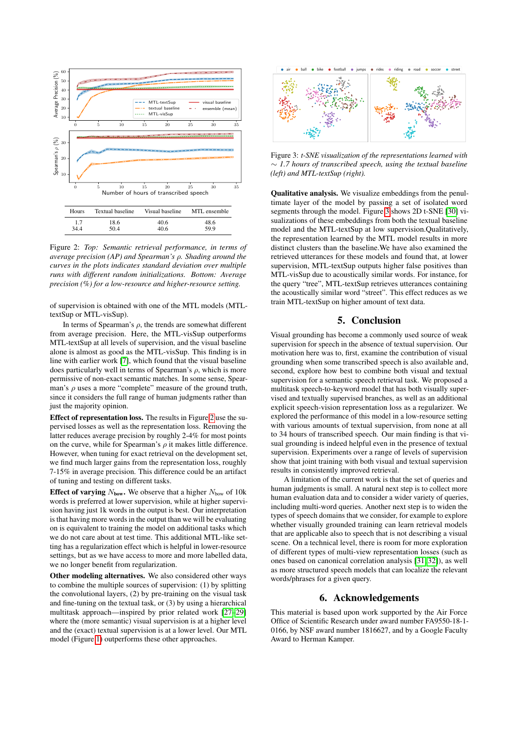<span id="page-3-0"></span>

Figure 2: *Top: Semantic retrieval performance, in terms of average precision (AP) and Spearman's* ρ*. Shading around the curves in the plots indicates standard deviation over multiple runs with different random initializations. Bottom: Average precision (%) for a low-resource and higher-resource setting.*

of supervision is obtained with one of the MTL models (MTLtextSup or MTL-visSup).

In terms of Spearman's  $\rho$ , the trends are somewhat different from average precision. Here, the MTL-visSup outperforms MTL-textSup at all levels of supervision, and the visual baseline alone is almost as good as the MTL-visSup. This finding is in line with earlier work [\[7\]](#page-4-1), which found that the visual baseline does particularly well in terms of Spearman's  $\rho$ , which is more permissive of non-exact semantic matches. In some sense, Spearman's  $\rho$  uses a more "complete" measure of the ground truth, since it considers the full range of human judgments rather than just the majority opinion.

Effect of representation loss. The results in Figure [2](#page-3-0) use the supervised losses as well as the representation loss. Removing the latter reduces average precision by roughly 2-4% for most points on the curve, while for Spearman's  $\rho$  it makes little difference. However, when tuning for exact retrieval on the development set, we find much larger gains from the representation loss, roughly 7-15% in average precision. This difference could be an artifact of tuning and testing on different tasks.

Effect of varying  $N_{\text{bow}}$ . We observe that a higher  $N_{\text{bow}}$  of 10k words is preferred at lower supervision, while at higher supervision having just 1k words in the output is best. Our interpretation is that having more words in the output than we will be evaluating on is equivalent to training the model on additional tasks which we do not care about at test time. This additional MTL-like setting has a regularization effect which is helpful in lower-resource settings, but as we have access to more and more labelled data, we no longer benefit from regularization.

Other modeling alternatives. We also considered other ways to combine the multiple sources of supervision: (1) by splitting the convolutional layers, (2) by pre-training on the visual task and fine-tuning on the textual task, or (3) by using a hierarchical multitask approach—inspired by prior related work [\[27–](#page-4-21)[29\]](#page-4-22) where the (more semantic) visual supervision is at a higher level and the (exact) textual supervision is at a lower level. Our MTL model (Figure [1\)](#page-1-0) outperforms these other approaches.

<span id="page-3-1"></span>

Figure 3: *t-SNE visualization of the representations learned with* ∼ *1.7 hours of transcribed speech, using the textual baseline (left) and MTL-textSup (right).*

Qualitative analysis. We visualize embeddings from the penultimate layer of the model by passing a set of isolated word segments through the model. Figure [3](#page-3-1) shows 2D t-SNE [\[30\]](#page-4-23) visualizations of these embeddings from both the textual baseline model and the MTL-textSup at low supervision.Qualitatively, the representation learned by the MTL model results in more distinct clusters than the baseline.We have also examined the retrieved utterances for these models and found that, at lower supervision, MTL-textSup outputs higher false positives than MTL-visSup due to acoustically similar words. For instance, for the query "tree", MTL-textSup retrieves utterances containing the acoustically similar word "street". This effect reduces as we train MTL-textSup on higher amount of text data.

# 5. Conclusion

Visual grounding has become a commonly used source of weak supervision for speech in the absence of textual supervision. Our motivation here was to, first, examine the contribution of visual grounding when some transcribed speech is also available and, second, explore how best to combine both visual and textual supervision for a semantic speech retrieval task. We proposed a multitask speech-to-keyword model that has both visually supervised and textually supervised branches, as well as an additional explicit speech-vision representation loss as a regularizer. We explored the performance of this model in a low-resource setting with various amounts of textual supervision, from none at all to 34 hours of transcribed speech. Our main finding is that visual grounding is indeed helpful even in the presence of textual supervision. Experiments over a range of levels of supervision show that joint training with both visual and textual supervision results in consistently improved retrieval.

A limitation of the current work is that the set of queries and human judgments is small. A natural next step is to collect more human evaluation data and to consider a wider variety of queries, including multi-word queries. Another next step is to widen the types of speech domains that we consider, for example to explore whether visually grounded training can learn retrieval models that are applicable also to speech that is not describing a visual scene. On a technical level, there is room for more exploration of different types of multi-view representation losses (such as ones based on canonical correlation analysis [\[31,](#page-4-24) [32\]](#page-4-25)), as well as more structured speech models that can localize the relevant words/phrases for a given query.

## 6. Acknowledgements

This material is based upon work supported by the Air Force Office of Scientific Research under award number FA9550-18-1- 0166, by NSF award number 1816627, and by a Google Faculty Award to Herman Kamper.